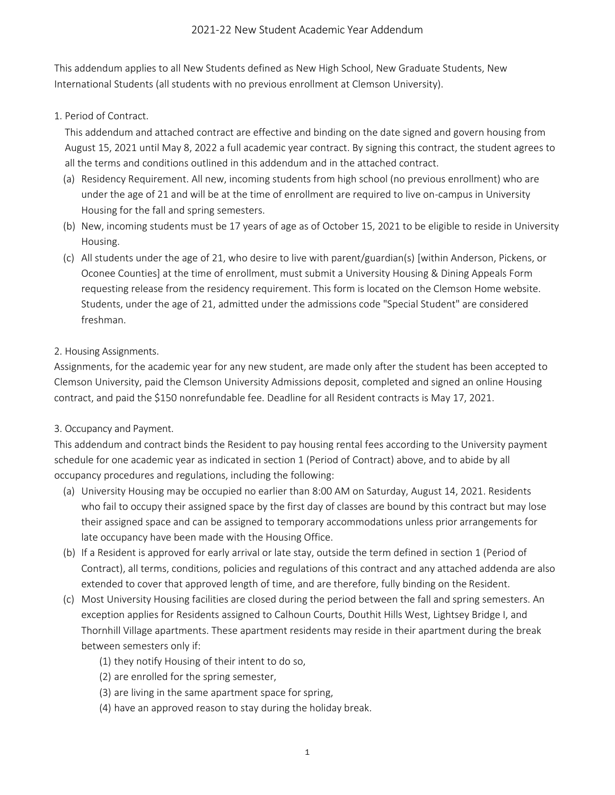This addendum applies to all New Students defined as New High School, New Graduate Students, New International Students (all students with no previous enrollment at Clemson University).

1. Period of Contract.

This addendum and attached contract are effective and binding on the date signed and govern housing from August 15, 2021 until May 8, 2022 a full academic year contract. By signing this contract, the student agrees to all the terms and conditions outlined in this addendum and in the attached contract.

- (a) Residency Requirement. All new, incoming students from high school (no previous enrollment) who are under the age of 21 and will be at the time of enrollment are required to live on-campus in University Housing for the fall and spring semesters.
- (b) New, incoming students must be 17 years of age as of October 15, 2021 to be eligible to reside in University Housing.
- (c) All students under the age of 21, who desire to live with parent/guardian(s) [within Anderson, Pickens, or Oconee Counties] at the time of enrollment, must submit a University Housing & Dining Appeals Form requesting release from the residency requirement. This form is located on the Clemson Home website. Students, under the age of 21, admitted under the admissions code "Special Student" are considered freshman.

## 2. Housing Assignments.

Assignments, for the academic year for any new student, are made only after the student has been accepted to Clemson University, paid the Clemson University Admissions deposit, completed and signed an online Housing contract, and paid the \$150 nonrefundable fee. Deadline for all Resident contracts is May 17, 2021.

## 3. Occupancy and Payment.

This addendum and contract binds the Resident to pay housing rental fees according to the University payment schedule for one academic year as indicated in section 1 (Period of Contract) above, and to abide by all occupancy procedures and regulations, including the following:

- (a) University Housing may be occupied no earlier than 8:00 AM on Saturday, August 14, 2021. Residents who fail to occupy their assigned space by the first day of classes are bound by this contract but may lose their assigned space and can be assigned to temporary accommodations unless prior arrangements for late occupancy have been made with the Housing Office.
- (b) If a Resident is approved for early arrival or late stay, outside the term defined in section 1 (Period of Contract), all terms, conditions, policies and regulations of this contract and any attached addenda are also extended to cover that approved length of time, and are therefore, fully binding on the Resident.
- (c) Most University Housing facilities are closed during the period between the fall and spring semesters. An exception applies for Residents assigned to Calhoun Courts, Douthit Hills West, Lightsey Bridge I, and Thornhill Village apartments. These apartment residents may reside in their apartment during the break between semesters only if:
	- (1) they notify Housing of their intent to do so,
	- (2) are enrolled for the spring semester,
	- (3) are living in the same apartment space for spring,
	- (4) have an approved reason to stay during the holiday break.